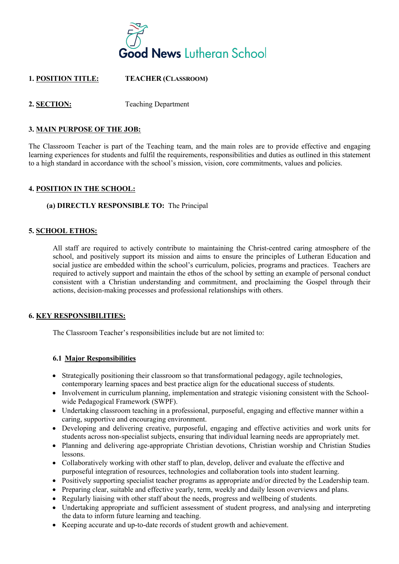

# **1. POSITION TITLE: TEACHER (CLASSROOM)**

# **2. SECTION:** Teaching Department

## **3. MAIN PURPOSE OF THE JOB:**

The Classroom Teacher is part of the Teaching team, and the main roles are to provide effective and engaging learning experiences for students and fulfil the requirements, responsibilities and duties as outlined in this statement to a high standard in accordance with the school's mission, vision, core commitments, values and policies.

## **4. POSITION IN THE SCHOOL:**

## **(a) DIRECTLY RESPONSIBLE TO:** The Principal

## **5. SCHOOL ETHOS:**

All staff are required to actively contribute to maintaining the Christ-centred caring atmosphere of the school, and positively support its mission and aims to ensure the principles of Lutheran Education and social justice are embedded within the school's curriculum, policies, programs and practices. Teachers are required to actively support and maintain the ethos of the school by setting an example of personal conduct consistent with a Christian understanding and commitment, and proclaiming the Gospel through their actions, decision-making processes and professional relationships with others.

#### **6. KEY RESPONSIBILITIES:**

The Classroom Teacher's responsibilities include but are not limited to:

#### **6.1 Major Responsibilities**

- Strategically positioning their classroom so that transformational pedagogy, agile technologies, contemporary learning spaces and best practice align for the educational success of students.
- Involvement in curriculum planning, implementation and strategic visioning consistent with the Schoolwide Pedagogical Framework (SWPF).
- Undertaking classroom teaching in a professional, purposeful, engaging and effective manner within a caring, supportive and encouraging environment.
- Developing and delivering creative, purposeful, engaging and effective activities and work units for students across non-specialist subjects, ensuring that individual learning needs are appropriately met.
- Planning and delivering age-appropriate Christian devotions, Christian worship and Christian Studies lessons.
- Collaboratively working with other staff to plan, develop, deliver and evaluate the effective and purposeful integration of resources, technologies and collaboration tools into student learning.
- Positively supporting specialist teacher programs as appropriate and/or directed by the Leadership team.
- Preparing clear, suitable and effective yearly, term, weekly and daily lesson overviews and plans.
- Regularly liaising with other staff about the needs, progress and wellbeing of students.
- Undertaking appropriate and sufficient assessment of student progress, and analysing and interpreting the data to inform future learning and teaching.
- Keeping accurate and up-to-date records of student growth and achievement.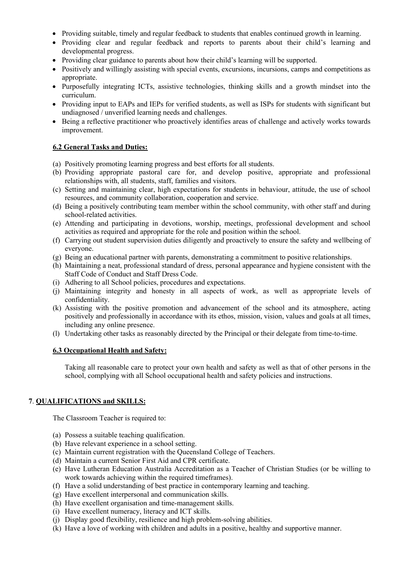- Providing suitable, timely and regular feedback to students that enables continued growth in learning.
- Providing clear and regular feedback and reports to parents about their child's learning and developmental progress.
- Providing clear guidance to parents about how their child's learning will be supported.
- Positively and willingly assisting with special events, excursions, incursions, camps and competitions as appropriate.
- Purposefully integrating ICTs, assistive technologies, thinking skills and a growth mindset into the curriculum.
- Providing input to EAPs and IEPs for verified students, as well as ISPs for students with significant but undiagnosed / unverified learning needs and challenges.
- Being a reflective practitioner who proactively identifies areas of challenge and actively works towards improvement.

# **6.2 General Tasks and Duties:**

- (a) Positively promoting learning progress and best efforts for all students.
- (b) Providing appropriate pastoral care for, and develop positive, appropriate and professional relationships with, all students, staff, families and visitors.
- (c) Setting and maintaining clear, high expectations for students in behaviour, attitude, the use of school resources, and community collaboration, cooperation and service.
- (d) Being a positively contributing team member within the school community, with other staff and during school-related activities.
- (e) Attending and participating in devotions, worship, meetings, professional development and school activities as required and appropriate for the role and position within the school.
- (f) Carrying out student supervision duties diligently and proactively to ensure the safety and wellbeing of everyone.
- (g) Being an educational partner with parents, demonstrating a commitment to positive relationships.
- (h) Maintaining a neat, professional standard of dress, personal appearance and hygiene consistent with the Staff Code of Conduct and Staff Dress Code.
- (i) Adhering to all School policies, procedures and expectations.
- (j) Maintaining integrity and honesty in all aspects of work, as well as appropriate levels of confidentiality.
- (k) Assisting with the positive promotion and advancement of the school and its atmosphere, acting positively and professionally in accordance with its ethos, mission, vision, values and goals at all times, including any online presence.
- (l) Undertaking other tasks as reasonably directed by the Principal or their delegate from time-to-time.

# **6.3 Occupational Health and Safety:**

Taking all reasonable care to protect your own health and safety as well as that of other persons in the school, complying with all School occupational health and safety policies and instructions.

# **7**. **QUALIFICATIONS and SKILLS:**

The Classroom Teacher is required to:

- (a) Possess a suitable teaching qualification.
- (b) Have relevant experience in a school setting.
- (c) Maintain current registration with the Queensland College of Teachers.
- (d) Maintain a current Senior First Aid and CPR certificate.
- (e) Have Lutheran Education Australia Accreditation as a Teacher of Christian Studies (or be willing to work towards achieving within the required timeframes).
- (f) Have a solid understanding of best practice in contemporary learning and teaching.
- (g) Have excellent interpersonal and communication skills.
- (h) Have excellent organisation and time-management skills.
- (i) Have excellent numeracy, literacy and ICT skills.
- (j) Display good flexibility, resilience and high problem-solving abilities.
- (k) Have a love of working with children and adults in a positive, healthy and supportive manner.